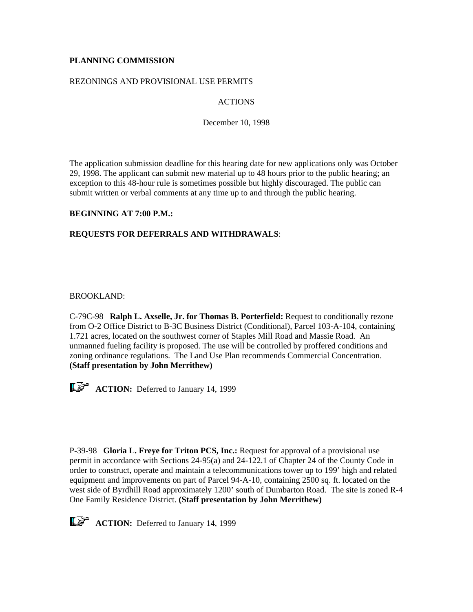# **PLANNING COMMISSION**

### REZONINGS AND PROVISIONAL USE PERMITS

# ACTIONS

December 10, 1998

The application submission deadline for this hearing date for new applications only was October 29, 1998. The applicant can submit new material up to 48 hours prior to the public hearing; an exception to this 48-hour rule is sometimes possible but highly discouraged. The public can submit written or verbal comments at any time up to and through the public hearing.

## **BEGINNING AT 7:00 P.M.:**

## **REQUESTS FOR DEFERRALS AND WITHDRAWALS**:

BROOKLAND:

C-79C-98 **Ralph L. Axselle, Jr. for Thomas B. Porterfield:** Request to conditionally rezone from O-2 Office District to B-3C Business District (Conditional), Parcel 103-A-104, containing 1.721 acres, located on the southwest corner of Staples Mill Road and Massie Road. An unmanned fueling facility is proposed. The use will be controlled by proffered conditions and zoning ordinance regulations. The Land Use Plan recommends Commercial Concentration. **(Staff presentation by John Merrithew)**



**ACTION:** Deferred to January 14, 1999

P-39-98 **Gloria L. Freye for Triton PCS, Inc.:** Request for approval of a provisional use permit in accordance with Sections 24-95(a) and 24-122.1 of Chapter 24 of the County Code in order to construct, operate and maintain a telecommunications tower up to 199' high and related equipment and improvements on part of Parcel 94-A-10, containing 2500 sq. ft. located on the west side of Byrdhill Road approximately 1200' south of Dumbarton Road. The site is zoned R-4 One Family Residence District. **(Staff presentation by John Merrithew)**



**ACTION:** Deferred to January 14, 1999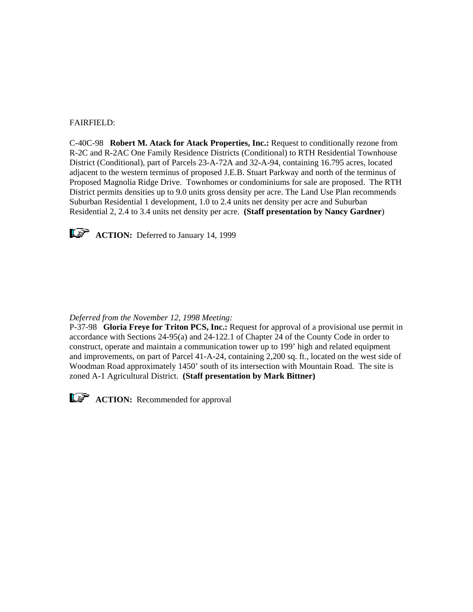### FAIRFIELD:

C-40C-98 **Robert M. Atack for Atack Properties, Inc.:** Request to conditionally rezone from R-2C and R-2AC One Family Residence Districts (Conditional) to RTH Residential Townhouse District (Conditional), part of Parcels 23-A-72A and 32-A-94, containing 16.795 acres, located adjacent to the western terminus of proposed J.E.B. Stuart Parkway and north of the terminus of Proposed Magnolia Ridge Drive. Townhomes or condominiums for sale are proposed. The RTH District permits densities up to 9.0 units gross density per acre. The Land Use Plan recommends Suburban Residential 1 development, 1.0 to 2.4 units net density per acre and Suburban Residential 2, 2.4 to 3.4 units net density per acre. **(Staff presentation by Nancy Gardner**)



**ACTION:** Deferred to January 14, 1999

#### *Deferred from the November 12, 1998 Meeting:*

P-37-98 **Gloria Freye for Triton PCS, Inc.:** Request for approval of a provisional use permit in accordance with Sections 24-95(a) and 24-122.1 of Chapter 24 of the County Code in order to construct, operate and maintain a communication tower up to 199' high and related equipment and improvements, on part of Parcel 41-A-24, containing 2,200 sq. ft., located on the west side of Woodman Road approximately 1450' south of its intersection with Mountain Road. The site is zoned A-1 Agricultural District. **(Staff presentation by Mark Bittner)**



**ACTION:** Recommended for approval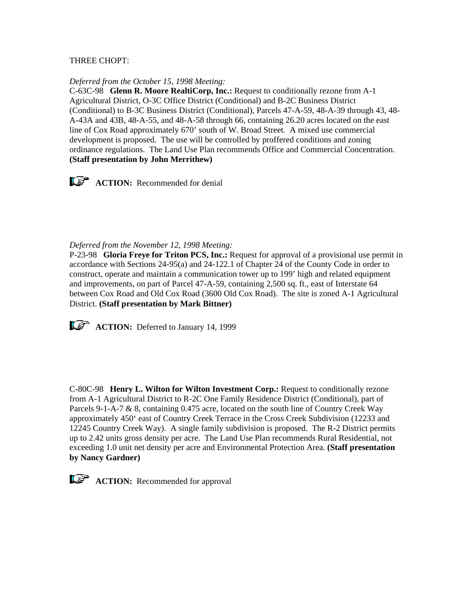## THREE CHOPT:

#### *Deferred from the October 15, 1998 Meeting:*

C-63C-98 **Glenn R. Moore RealtiCorp, Inc.:** Request to conditionally rezone from A-1 Agricultural District, O-3C Office District (Conditional) and B-2C Business District (Conditional) to B-3C Business District (Conditional), Parcels 47-A-59, 48-A-39 through 43, 48- A-43A and 43B, 48-A-55, and 48-A-58 through 66, containing 26.20 acres located on the east line of Cox Road approximately 670' south of W. Broad Street. A mixed use commercial development is proposed. The use will be controlled by proffered conditions and zoning ordinance regulations. The Land Use Plan recommends Office and Commercial Concentration. **(Staff presentation by John Merrithew)**



#### *Deferred from the November 12, 1998 Meeting:*

P-23-98 **Gloria Freye for Triton PCS, Inc.:** Request for approval of a provisional use permit in accordance with Sections 24-95(a) and 24-122.1 of Chapter 24 of the County Code in order to construct, operate and maintain a communication tower up to 199' high and related equipment and improvements, on part of Parcel 47-A-59, containing 2,500 sq. ft., east of Interstate 64 between Cox Road and Old Cox Road (3600 Old Cox Road). The site is zoned A-1 Agricultural District. **(Staff presentation by Mark Bittner)**

**ACTION:** Deferred to January 14, 1999

C-80C-98 **Henry L. Wilton for Wilton Investment Corp.:** Request to conditionally rezone from A-1 Agricultural District to R-2C One Family Residence District (Conditional), part of Parcels 9-1-A-7 & 8, containing 0.475 acre, located on the south line of Country Creek Way approximately 450' east of Country Creek Terrace in the Cross Creek Subdivision (12233 and 12245 Country Creek Way). A single family subdivision is proposed. The R-2 District permits up to 2.42 units gross density per acre. The Land Use Plan recommends Rural Residential, not exceeding 1.0 unit net density per acre and Environmental Protection Area. **(Staff presentation by Nancy Gardner)**

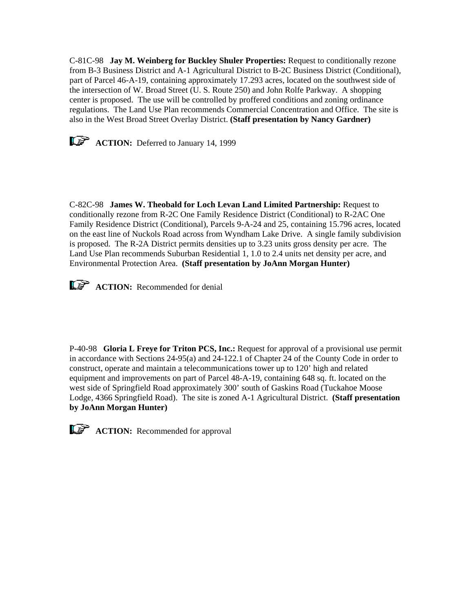C-81C-98 **Jay M. Weinberg for Buckley Shuler Properties:** Request to conditionally rezone from B-3 Business District and A-1 Agricultural District to B-2C Business District (Conditional), part of Parcel 46-A-19, containing approximately 17.293 acres, located on the southwest side of the intersection of W. Broad Street (U. S. Route 250) and John Rolfe Parkway. A shopping center is proposed. The use will be controlled by proffered conditions and zoning ordinance regulations. The Land Use Plan recommends Commercial Concentration and Office. The site is also in the West Broad Street Overlay District. **(Staff presentation by Nancy Gardner)**



**ACTION:** Deferred to January 14, 1999

C-82C-98 **James W. Theobald for Loch Levan Land Limited Partnership:** Request to conditionally rezone from R-2C One Family Residence District (Conditional) to R-2AC One Family Residence District (Conditional), Parcels 9-A-24 and 25, containing 15.796 acres, located on the east line of Nuckols Road across from Wyndham Lake Drive. A single family subdivision is proposed. The R-2A District permits densities up to 3.23 units gross density per acre. The Land Use Plan recommends Suburban Residential 1, 1.0 to 2.4 units net density per acre, and Environmental Protection Area. **(Staff presentation by JoAnn Morgan Hunter)**



P-40-98 **Gloria L Freye for Triton PCS, Inc.:** Request for approval of a provisional use permit in accordance with Sections 24-95(a) and 24-122.1 of Chapter 24 of the County Code in order to construct, operate and maintain a telecommunications tower up to 120' high and related equipment and improvements on part of Parcel 48-A-19, containing 648 sq. ft. located on the west side of Springfield Road approximately 300' south of Gaskins Road (Tuckahoe Moose Lodge, 4366 Springfield Road). The site is zoned A-1 Agricultural District. **(Staff presentation by JoAnn Morgan Hunter)** 



**ACTION:** Recommended for approval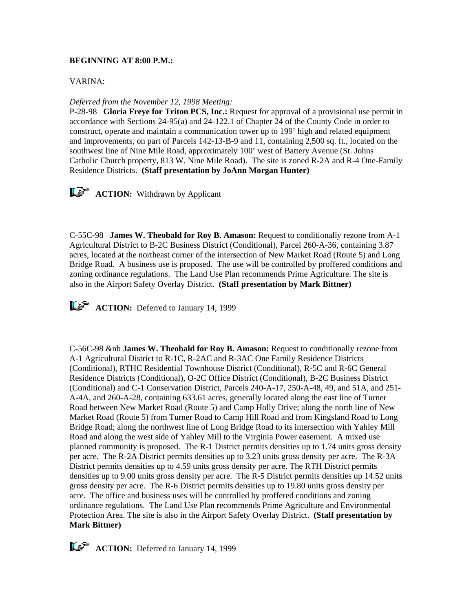### **BEGINNING AT 8:00 P.M.:**

### VARINA:

### *Deferred from the November 12, 1998 Meeting:*

P-28-98 **Gloria Freye for Triton PCS, Inc.:** Request for approval of a provisional use permit in accordance with Sections 24-95(a) and 24-122.1 of Chapter 24 of the County Code in order to construct, operate and maintain a communication tower up to 199' high and related equipment and improvements, on part of Parcels 142-13-B-9 and 11, containing 2,500 sq. ft., located on the southwest line of Nine Mile Road, approximately 100' west of Battery Avenue (St. Johns Catholic Church property, 813 W. Nine Mile Road). The site is zoned R-2A and R-4 One-Family Residence Districts. **(Staff presentation by JoAnn Morgan Hunter)**

**ACTION:** Withdrawn by Applicant

C-55C-98 **James W. Theobald for Roy B. Amason:** Request to conditionally rezone from A-1 Agricultural District to B-2C Business District (Conditional), Parcel 260-A-36, containing 3.87 acres, located at the northeast corner of the intersection of New Market Road (Route 5) and Long Bridge Road. A business use is proposed. The use will be controlled by proffered conditions and zoning ordinance regulations. The Land Use Plan recommends Prime Agriculture. The site is also in the Airport Safety Overlay District. **(Staff presentation by Mark Bittner)**



**ACTION:** Deferred to January 14, 1999

C-56C-98 &nb **James W. Theobald for Roy B. Amason:** Request to conditionally rezone from A-1 Agricultural District to R-1C, R-2AC and R-3AC One Family Residence Districts (Conditional), RTHC Residential Townhouse District (Conditional), R-5C and R-6C General Residence Districts (Conditional), O-2C Office District (Conditional), B-2C Business District (Conditional) and C-1 Conservation District, Parcels 240-A-17, 250-A-48, 49, and 51A, and 251- A-4A, and 260-A-28, containing 633.61 acres, generally located along the east line of Turner Road between New Market Road (Route 5) and Camp Holly Drive; along the north line of New Market Road (Route 5) from Turner Road to Camp Hill Road and from Kingsland Road to Long Bridge Road; along the northwest line of Long Bridge Road to its intersection with Yahley Mill Road and along the west side of Yahley Mill to the Virginia Power easement. A mixed use planned community is proposed. The R-1 District permits densities up to 1.74 units gross density per acre. The R-2A District permits densities up to 3.23 units gross density per acre. The R-3A District permits densities up to 4.59 units gross density per acre. The RTH District permits densities up to 9.00 units gross density per acre. The R-5 District permits densities up 14.52 units gross density per acre. The R-6 District permits densities up to 19.80 units gross density per acre. The office and business uses will be controlled by proffered conditions and zoning ordinance regulations. The Land Use Plan recommends Prime Agriculture and Environmental Protection Area. The site is also in the Airport Safety Overlay District. **(Staff presentation by Mark Bittner)**



**ACTION:** Deferred to January 14, 1999